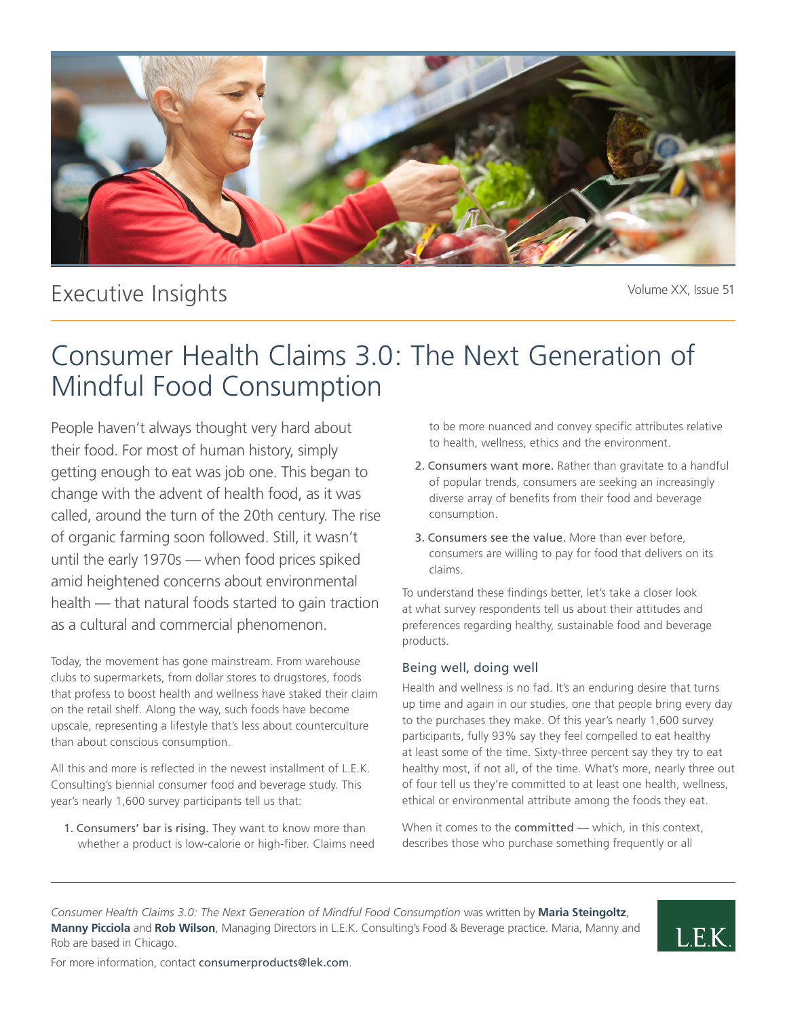

## Executive Insights

Volume XX, Issue 51

# Consumer Health Claims 3.0: The Next Generation of Mindful Food Consumption

People haven't always thought very hard about their food. For most of human history, simply getting enough to eat was job one. This began to change with the advent of health food, as it was called, around the turn of the 20th century. The rise of organic farming soon followed. Still, it wasn't until the early 1970s — when food prices spiked amid heightened concerns about environmental health — that natural foods started to gain traction as a cultural and commercial phenomenon.

Today, the movement has gone mainstream. From warehouse clubs to supermarkets, from dollar stores to drugstores, foods that profess to boost health and wellness have staked their claim on the retail shelf. Along the way, such foods have become upscale, representing a lifestyle that's less about counterculture than about conscious consumption.

All this and more is reflected in the newest installment of L.E.K. Consulting's biennial consumer food and beverage study. This year's nearly 1,600 survey participants tell us that:

1. Consumers' bar is rising. They want to know more than whether a product is low-calorie or high-fiber. Claims need to be more nuanced and convey specific attributes relative to health, wellness, ethics and the environment.

- 2. Consumers want more. Rather than gravitate to a handful of popular trends, consumers are seeking an increasingly diverse array of benefits from their food and beverage consumption.
- 3. Consumers see the value. More than ever before, consumers are willing to pay for food that delivers on its claims.

To understand these findings better, let's take a closer look at what survey respondents tell us about their attitudes and preferences regarding healthy, sustainable food and beverage products.

## Being well, doing well

Health and wellness is no fad. It's an enduring desire that turns up time and again in our studies, one that people bring every day to the purchases they make. Of this year's nearly 1,600 survey participants, fully 93% say they feel compelled to eat healthy at least some of the time. Sixty-three percent say they try to eat healthy most, if not all, of the time. What's more, nearly three out of four tell us they're committed to at least one health, wellness, ethical or environmental attribute among the foods they eat.

When it comes to the committed — which, in this context, describes those who purchase something frequently or all

*Consumer Health Claims 3.0: The Next Generation of Mindful Food Consumption* was written by **Maria Steingoltz**, **Manny Picciola** and **Rob Wilson**, Managing Directors in L.E.K. Consulting's Food & Beverage practice. Maria, Manny and Rob are based in Chicago.



For more information, contact consumerproducts@lek.com.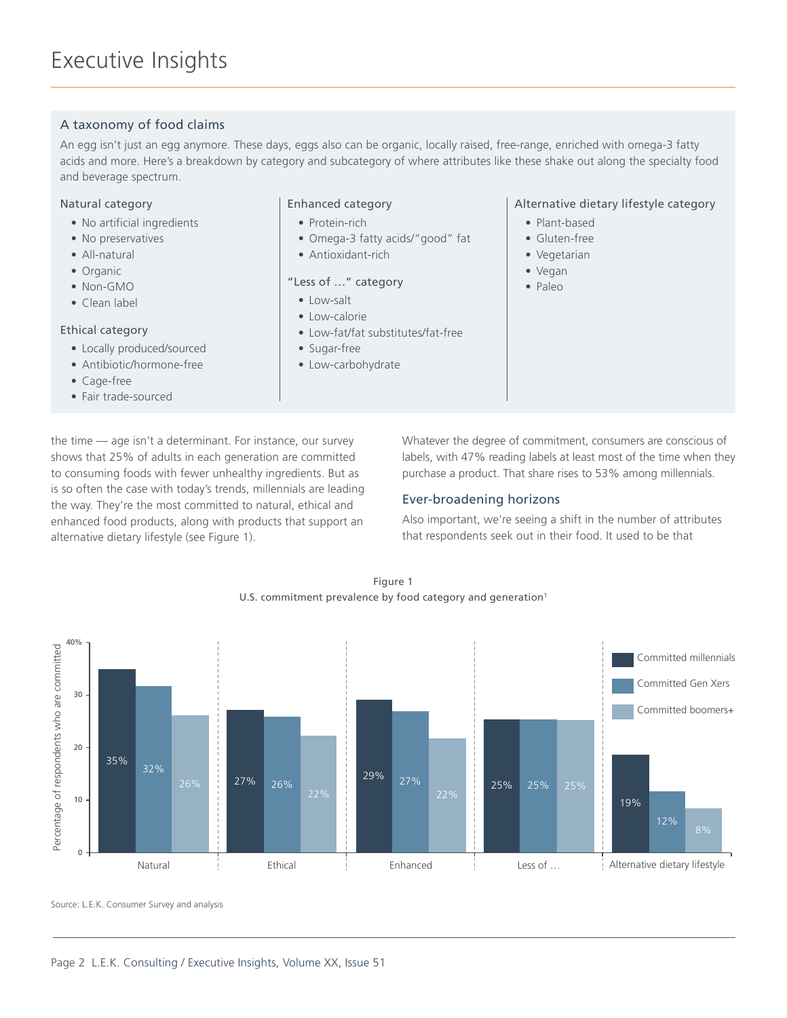## A taxonomy of food claims

An egg isn't just an egg anymore. These days, eggs also can be organic, locally raised, free-range, enriched with omega-3 fatty acids and more. Here's a breakdown by category and subcategory of where attributes like these shake out along the specialty food and beverage spectrum.

### Natural category

- No artificial ingredients
- No preservatives
- All-natural
- Organic
- Non-GMO
- Clean label

#### Ethical category

- Locally produced/sourced
- Antibiotic/hormone-free
- Cage-free
- Fair trade-sourced

#### Enhanced category

- Protein-rich
- Omega-3 fatty acids/"good" fat
- Antioxidant-rich

### "Less of …" category

- Low-salt
- Low-calorie
- Low-fat/fat substitutes/fat-free
- Sugar-free
- Low-carbohydrate

### Alternative dietary lifestyle category

- Plant-based
- Gluten-free
- Vegetarian
- Vegan
- Paleo

the time — age isn't a determinant. For instance, our survey shows that 25% of adults in each generation are committed to consuming foods with fewer unhealthy ingredients. But as is so often the case with today's trends, millennials are leading the way. They're the most committed to natural, ethical and enhanced food products, along with products that support an alternative dietary lifestyle (see Figure 1).

Whatever the degree of commitment, consumers are conscious of labels, with 47% reading labels at least most of the time when they purchase a product. That share rises to 53% among millennials.

## Ever-broadening horizons

Also important, we're seeing a shift in the number of attributes that respondents seek out in their food. It used to be that

Figure 1 U.S. commitment prevalence by food category and generation<sup>1</sup>



Source: L.E.K. Consumer Survey and analysis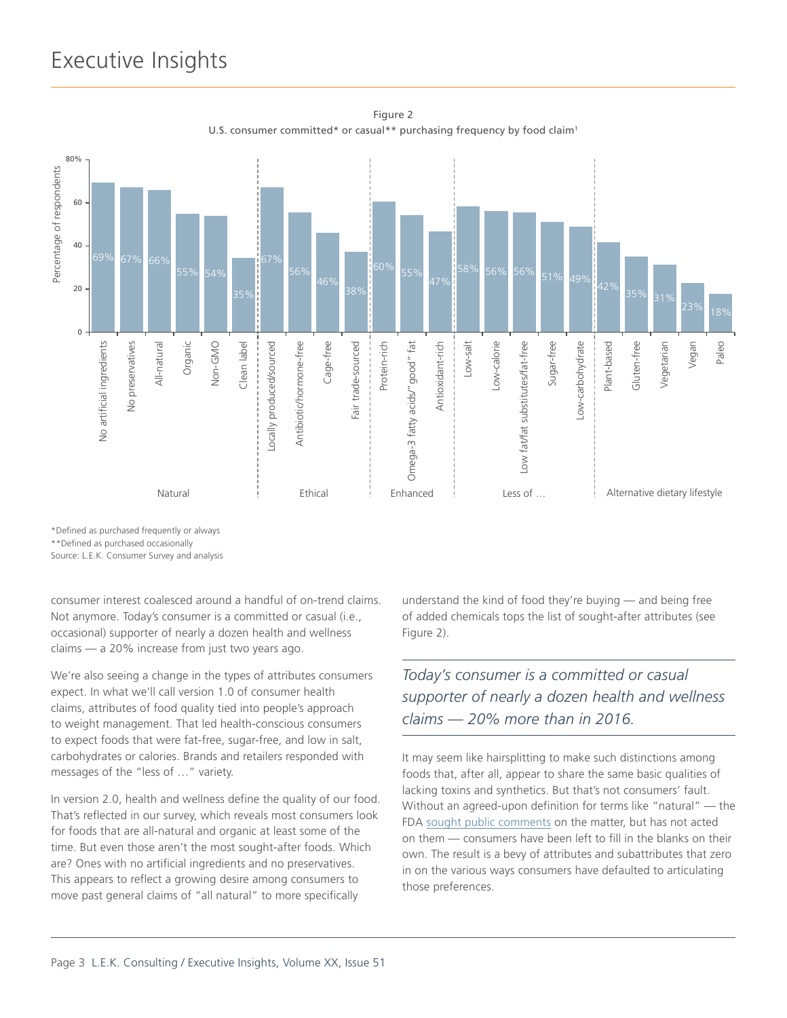## Executive Insights



Figure 2 U.S. consumer committed\* or casual\*\* purchasing frequency by food claim<sup>1</sup>

\*Defined as purchased frequently or always

\*\*Defined as purchased occasionally

Source: L.E.K. Consumer Survey and analysis

consumer interest coalesced around a handful of on-trend claims. Not anymore. Today's consumer is a committed or casual (i.e., occasional) supporter of nearly a dozen health and wellness claims — a 20% increase from just two years ago.

We're also seeing a change in the types of attributes consumers expect. In what we'll call version 1.0 of consumer health claims, attributes of food quality tied into people's approach to weight management. That led health-conscious consumers to expect foods that were fat-free, sugar-free, and low in salt, carbohydrates or calories. Brands and retailers responded with messages of the "less of …" variety.

In version 2.0, health and wellness define the quality of our food. That's reflected in our survey, which reveals most consumers look for foods that are all-natural and organic at least some of the time. But even those aren't the most sought-after foods. Which are? Ones with no artificial ingredients and no preservatives. This appears to reflect a growing desire among consumers to move past general claims of "all natural" to more specifically

understand the kind of food they're buying — and being free of added chemicals tops the list of sought-after attributes (see Figure 2).

## *Today's consumer is a committed or casual supporter of nearly a dozen health and wellness claims — 20% more than in 2016.*

It may seem like hairsplitting to make such distinctions among foods that, after all, appear to share the same basic qualities of lacking toxins and synthetics. But that's not consumers' fault. Without an agreed-upon definition for terms like "natural" — the FDA [sought public comments](https://www.fda.gov/Food/GuidanceRegulation/GuidanceDocumentsRegulatoryInformation/LabelingNutrition/ucm456090.htm) on the matter, but has not acted on them — consumers have been left to fill in the blanks on their own. The result is a bevy of attributes and subattributes that zero in on the various ways consumers have defaulted to articulating those preferences.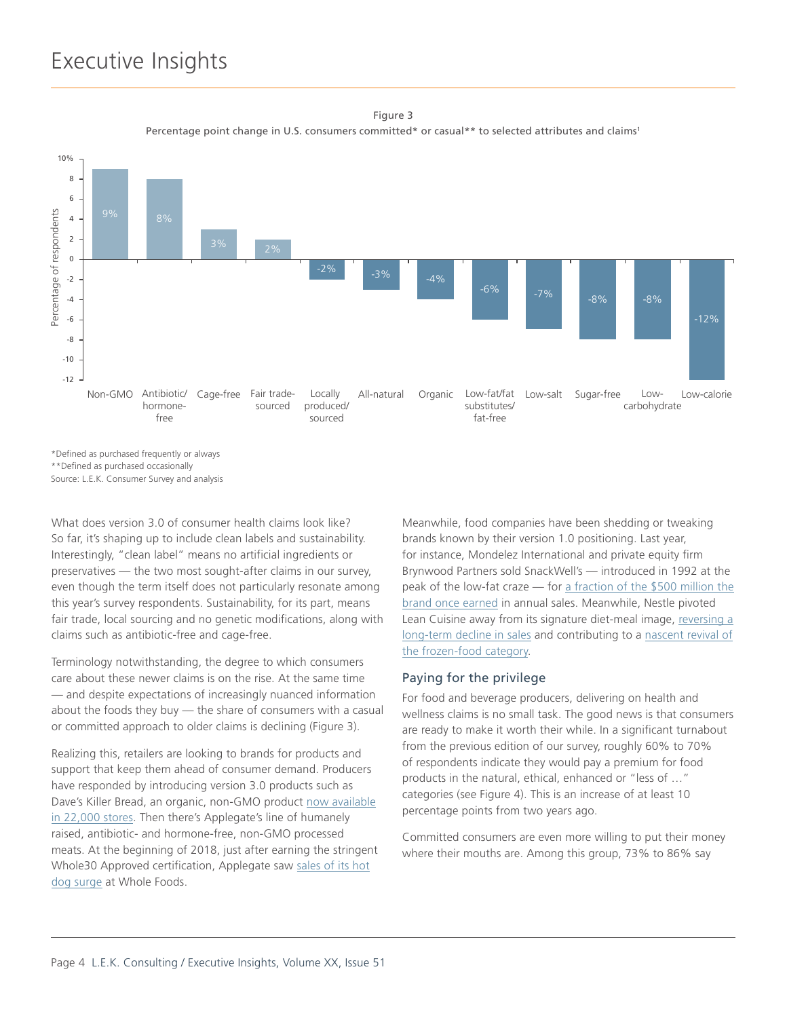## Executive Insights

Figure 3 Percentage point change in U.S. consumers committed\* or casual\*\* to selected attributes and claims<sup>1</sup>



\*Defined as purchased frequently or always \*\*Defined as purchased occasionally

What does version 3.0 of consumer health claims look like? So far, it's shaping up to include clean labels and sustainability. Interestingly, "clean label" means no artificial ingredients or preservatives — the two most sought-after claims in our survey, even though the term itself does not particularly resonate among this year's survey respondents. Sustainability, for its part, means fair trade, local sourcing and no genetic modifications, along with claims such as antibiotic-free and cage-free.

Terminology notwithstanding, the degree to which consumers care about these newer claims is on the rise. At the same time — and despite expectations of increasingly nuanced information about the foods they buy — the share of consumers with a casual or committed approach to older claims is declining (Figure 3).

Realizing this, retailers are looking to brands for products and support that keep them ahead of consumer demand. Producers have responded by introducing version 3.0 products such as Dave's Killer Bread, an organic, non-GMO product [now available](https://www.theringer.com/2018/2/27/17055800/daves-killer-bread-dave-dahl-feature) [in 22,000 stores.](https://www.theringer.com/2018/2/27/17055800/daves-killer-bread-dave-dahl-feature) Then there's Applegate's line of humanely raised, antibiotic- and hormone-free, non-GMO processed meats. At the beginning of 2018, just after earning the stringent Whole30 Approved certification, Applegate saw [sales of its hot](https://www.foodnavigator-usa.com/Article/2018/03/29/Applegate-teams-with-Whole30-to-expand-the-reach-of-its-humanely-raised-clean-ingredient-products#) [dog surge](https://www.foodnavigator-usa.com/Article/2018/03/29/Applegate-teams-with-Whole30-to-expand-the-reach-of-its-humanely-raised-clean-ingredient-products#) at Whole Foods.

Meanwhile, food companies have been shedding or tweaking brands known by their version 1.0 positioning. Last year, for instance, Mondelez International and private equity firm Brynwood Partners sold SnackWell's — introduced in 1992 at the peak of the low-fat craze — for [a fraction of the \\$500 million the](https://www.wsj.com/articles/b-g-foods-gobbles-up-snackwell-cookies-back-to-nature-bars-1503240544#comments_sector) [brand once earned](https://www.wsj.com/articles/b-g-foods-gobbles-up-snackwell-cookies-back-to-nature-bars-1503240544#comments_sector) in annual sales. Meanwhile, Nestle pivoted Lean Cuisine away from its signature diet-meal image, [reversing a](https://www.chiefmarketer.com/lean-cuisines-package-redesign-drives-58-million-sales-increase-in-one-year/) [long-term decline in sales](https://www.chiefmarketer.com/lean-cuisines-package-redesign-drives-58-million-sales-increase-in-one-year/) and contributing to a [nascent revival of](https://www.wsj.com/articles/why-the-frozen-food-aisle-is-hot-right-now-1528384700?mod=article_inline) [the frozen-food category.](https://www.wsj.com/articles/why-the-frozen-food-aisle-is-hot-right-now-1528384700?mod=article_inline)

### Paying for the privilege

For food and beverage producers, delivering on health and wellness claims is no small task. The good news is that consumers are ready to make it worth their while. In a significant turnabout from the previous edition of our survey, roughly 60% to 70% of respondents indicate they would pay a premium for food products in the natural, ethical, enhanced or "less of …" categories (see Figure 4). This is an increase of at least 10 percentage points from two years ago.

Committed consumers are even more willing to put their money where their mouths are. Among this group, 73% to 86% say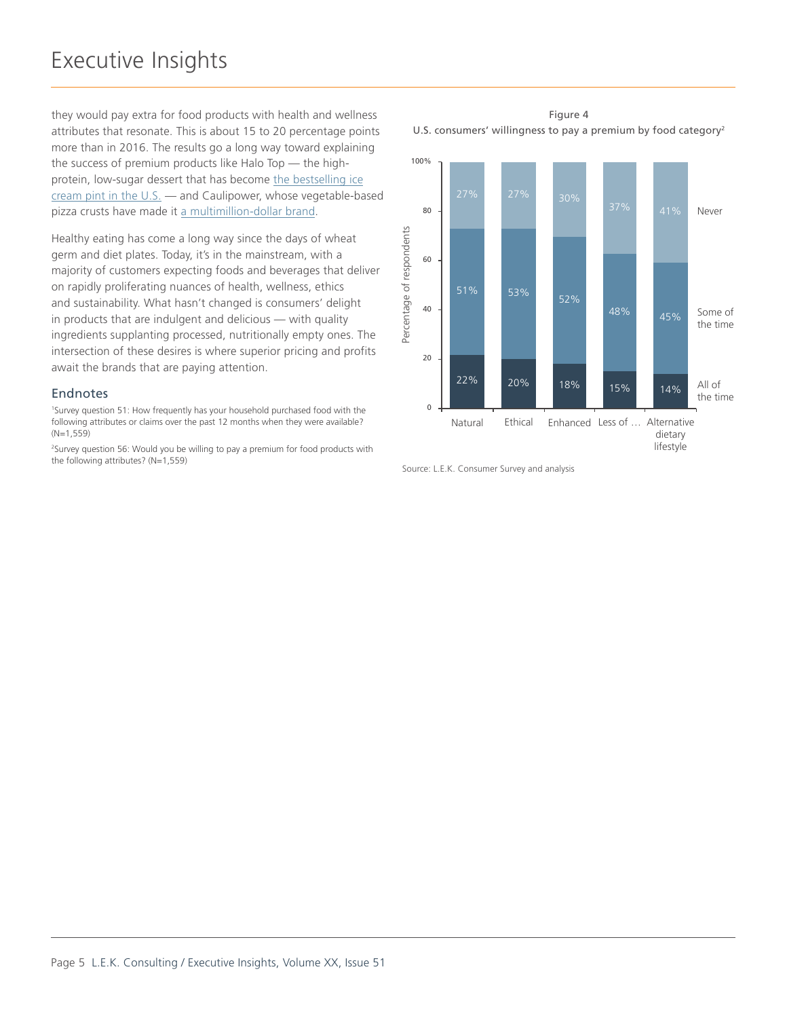they would pay extra for food products with health and wellness attributes that resonate. This is about 15 to 20 percentage points more than in 2016. The results go a long way toward explaining the success of premium products like Halo Top — the highprotein, low-sugar dessert that has become [the bestselling ice](http://www.latimes.com/business/la-fi-halo-top-icecream-20170915-story.html) [cream pint in the U.S.](http://www.latimes.com/business/la-fi-halo-top-icecream-20170915-story.html) — and Caulipower, whose vegetable-based pizza crusts have made it [a multimillion-dollar brand](https://www.nytimes.com/2018/06/08/well/cauliflower-vegetables-rice-pasta-carbs-gluten.html).

Healthy eating has come a long way since the days of wheat germ and diet plates. Today, it's in the mainstream, with a majority of customers expecting foods and beverages that deliver on rapidly proliferating nuances of health, wellness, ethics and sustainability. What hasn't changed is consumers' delight in products that are indulgent and delicious — with quality ingredients supplanting processed, nutritionally empty ones. The intersection of these desires is where superior pricing and profits await the brands that are paying attention.

#### Endnotes

1 Survey question 51: How frequently has your household purchased food with the following attributes or claims over the past 12 months when they were available? (N=1,559)

2 Survey question 56: Would you be willing to pay a premium for food products with the following attributes? (N=1,559)

Figure 4 U.S. consumers' willingness to pay a premium by food category<sup>2</sup>